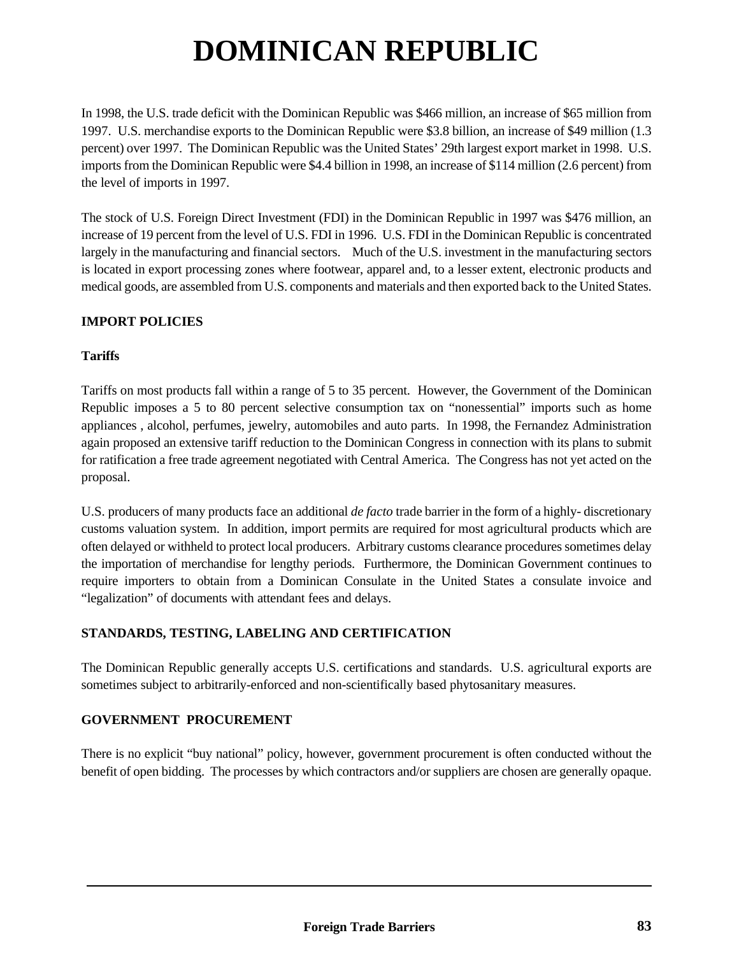# **DOMINICAN REPUBLIC**

In 1998, the U.S. trade deficit with the Dominican Republic was \$466 million, an increase of \$65 million from 1997. U.S. merchandise exports to the Dominican Republic were \$3.8 billion, an increase of \$49 million (1.3 percent) over 1997. The Dominican Republic was the United States' 29th largest export market in 1998. U.S. imports from the Dominican Republic were \$4.4 billion in 1998, an increase of \$114 million (2.6 percent) from the level of imports in 1997.

The stock of U.S. Foreign Direct Investment (FDI) in the Dominican Republic in 1997 was \$476 million, an increase of 19 percent from the level of U.S. FDI in 1996. U.S. FDI in the Dominican Republic is concentrated largely in the manufacturing and financial sectors. Much of the U.S. investment in the manufacturing sectors is located in export processing zones where footwear, apparel and, to a lesser extent, electronic products and medical goods, are assembled from U.S. components and materials and then exported back to the United States.

# **IMPORT POLICIES**

## **Tariffs**

Tariffs on most products fall within a range of 5 to 35 percent. However, the Government of the Dominican Republic imposes a 5 to 80 percent selective consumption tax on "nonessential" imports such as home appliances , alcohol, perfumes, jewelry, automobiles and auto parts. In 1998, the Fernandez Administration again proposed an extensive tariff reduction to the Dominican Congress in connection with its plans to submit for ratification a free trade agreement negotiated with Central America. The Congress has not yet acted on the proposal.

U.S. producers of many products face an additional *de facto* trade barrier in the form of a highly- discretionary customs valuation system. In addition, import permits are required for most agricultural products which are often delayed or withheld to protect local producers. Arbitrary customs clearance procedures sometimes delay the importation of merchandise for lengthy periods. Furthermore, the Dominican Government continues to require importers to obtain from a Dominican Consulate in the United States a consulate invoice and "legalization" of documents with attendant fees and delays.

# **STANDARDS, TESTING, LABELING AND CERTIFICATION**

The Dominican Republic generally accepts U.S. certifications and standards. U.S. agricultural exports are sometimes subject to arbitrarily-enforced and non-scientifically based phytosanitary measures.

## **GOVERNMENT PROCUREMENT**

There is no explicit "buy national" policy, however, government procurement is often conducted without the benefit of open bidding. The processes by which contractors and/or suppliers are chosen are generally opaque.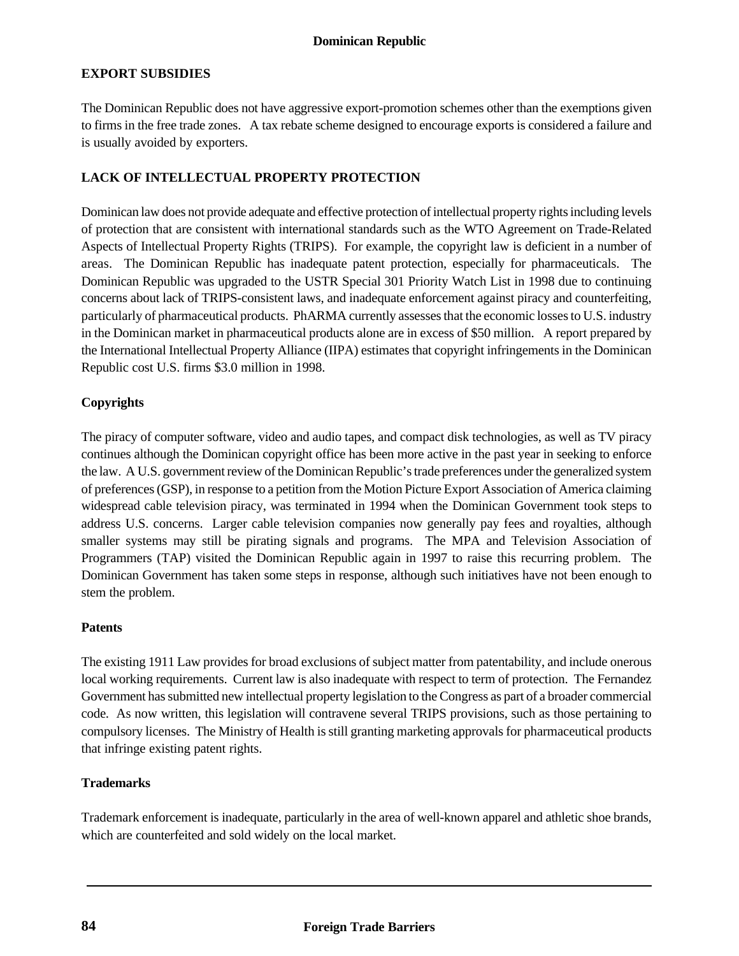#### **Dominican Republic**

# **EXPORT SUBSIDIES**

The Dominican Republic does not have aggressive export-promotion schemes other than the exemptions given to firms in the free trade zones. A tax rebate scheme designed to encourage exports is considered a failure and is usually avoided by exporters.

#### **LACK OF INTELLECTUAL PROPERTY PROTECTION**

Dominican law does not provide adequate and effective protection of intellectual property rights including levels of protection that are consistent with international standards such as the WTO Agreement on Trade-Related Aspects of Intellectual Property Rights (TRIPS). For example, the copyright law is deficient in a number of areas. The Dominican Republic has inadequate patent protection, especially for pharmaceuticals. The Dominican Republic was upgraded to the USTR Special 301 Priority Watch List in 1998 due to continuing concerns about lack of TRIPS-consistent laws, and inadequate enforcement against piracy and counterfeiting, particularly of pharmaceutical products. PhARMA currently assesses that the economic losses to U.S. industry in the Dominican market in pharmaceutical products alone are in excess of \$50 million. A report prepared by the International Intellectual Property Alliance (IIPA) estimates that copyright infringements in the Dominican Republic cost U.S. firms \$3.0 million in 1998.

#### **Copyrights**

The piracy of computer software, video and audio tapes, and compact disk technologies, as well as TV piracy continues although the Dominican copyright office has been more active in the past year in seeking to enforce the law. A U.S. government review of the Dominican Republic's trade preferences under the generalized system of preferences (GSP), in response to a petition from the Motion Picture Export Association of America claiming widespread cable television piracy, was terminated in 1994 when the Dominican Government took steps to address U.S. concerns. Larger cable television companies now generally pay fees and royalties, although smaller systems may still be pirating signals and programs. The MPA and Television Association of Programmers (TAP) visited the Dominican Republic again in 1997 to raise this recurring problem. The Dominican Government has taken some steps in response, although such initiatives have not been enough to stem the problem.

#### **Patents**

The existing 1911 Law provides for broad exclusions of subject matter from patentability, and include onerous local working requirements. Current law is also inadequate with respect to term of protection. The Fernandez Government has submitted new intellectual property legislation to the Congress as part of a broader commercial code. As now written, this legislation will contravene several TRIPS provisions, such as those pertaining to compulsory licenses. The Ministry of Health is still granting marketing approvals for pharmaceutical products that infringe existing patent rights.

#### **Trademarks**

Trademark enforcement is inadequate, particularly in the area of well-known apparel and athletic shoe brands, which are counterfeited and sold widely on the local market.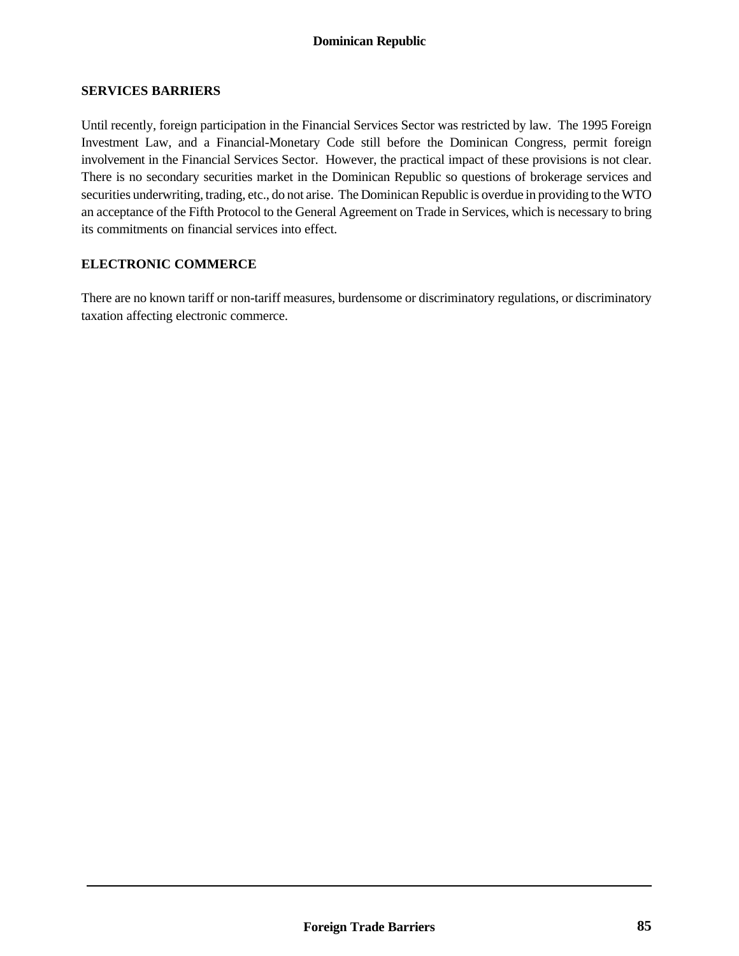# **Dominican Republic**

#### **SERVICES BARRIERS**

Until recently, foreign participation in the Financial Services Sector was restricted by law. The 1995 Foreign Investment Law, and a Financial-Monetary Code still before the Dominican Congress, permit foreign involvement in the Financial Services Sector. However, the practical impact of these provisions is not clear. There is no secondary securities market in the Dominican Republic so questions of brokerage services and securities underwriting, trading, etc., do not arise. The Dominican Republic is overdue in providing to the WTO an acceptance of the Fifth Protocol to the General Agreement on Trade in Services, which is necessary to bring its commitments on financial services into effect.

#### **ELECTRONIC COMMERCE**

There are no known tariff or non-tariff measures, burdensome or discriminatory regulations, or discriminatory taxation affecting electronic commerce.